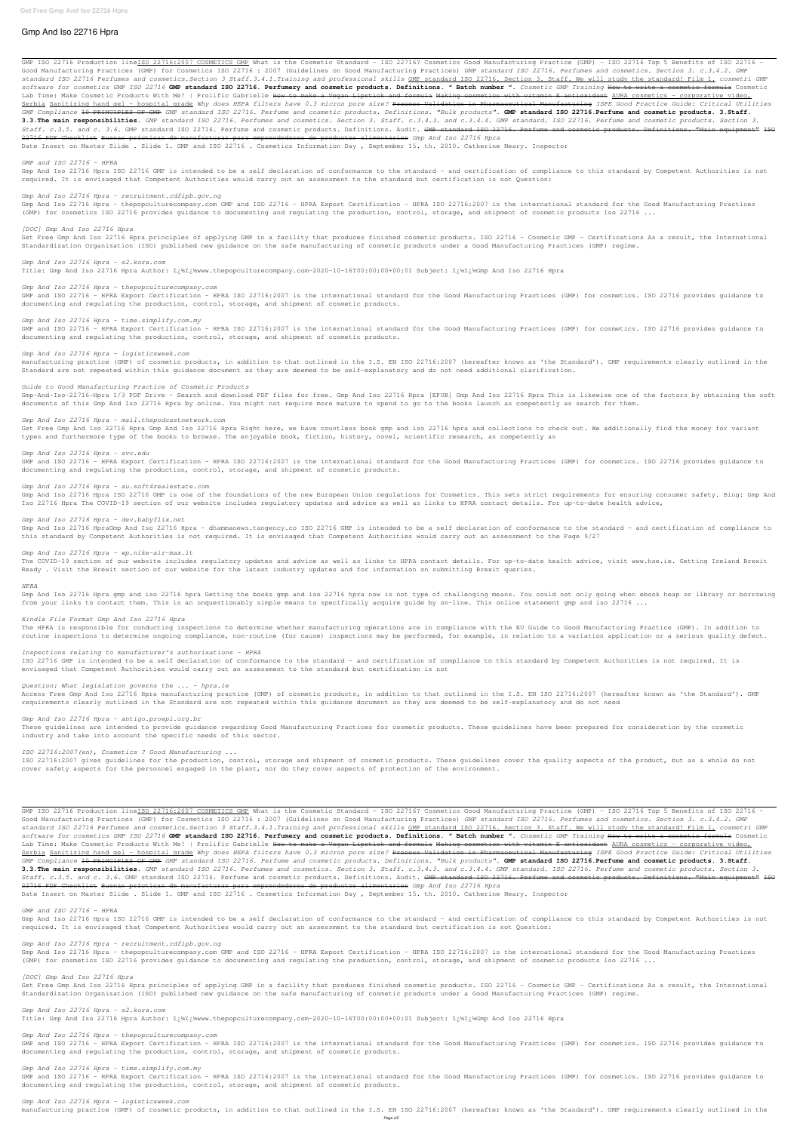# **Gmp And Iso 22716 Hpra**

GMP ISO 22716 Production line<u>ISO 22716:2007 COSMETICS GMP</u> What is the Cosmetic Standard - ISO 22716? Cosmetics Good Manufacturing Practice (GMP) - ISO 22716 Top 5 Benefits of ISO 22716 -Good Manufacturing Practices (GMP) for Cosmetics ISO 22716 : 2007 (Guidelines on Good Manufacturing Practices) *GMP standard ISO 22716. Perfumes and cosmetics. Section 3. c.3.4.2. GMP standard ISO 22716 Perfumes and cosmetics.Section 3 Staff.3.4.1.Training and professional skills* GMP standard ISO 22716. Section 3. Staff. We will study the standard! Film 1. *cosmetri GMP software for cosmetics GMP ISO 22716* **GMP standard ISO 22716. Perfumery and cosmetic products. Definitions. " Batch number ".** *Cosmetic GMP Training* How to write a cosmetic formula Cosmetic Lab Time: Make Cosmetic Products With Me! | Prolific Gabrielle <del>How to make a Vegan Lipstick and formula</del> Making cosmetics with vitamin E antioxidant AURA cosmetics - corporative video, Serbia Sanitizing hand gel – hospital grade *Why does HEPA filters have 0.3 micron pore size?* Process Validation in Pharmaceutical Manufacturing *ISPE Good Practice Guide: Critical Utilities GMP Compliance* 10 PRINCIPLES OF GMP *GMP standard ISO 22716. Perfume and cosmetic products. Definitions. "Bulk products".* **GMP standard ISO 22716.Perfume and cosmetic products. 3.Staff. 3.3.The main responsibilities.** *GMP standard ISO 22716. Perfumes and cosmetics. Section 3. Staff. c.3.4.3. and c.3.4.4. GMP standard. ISO 22716. Perfume and cosmetic products. Section 3. Staff. c.3.5. and c. 3.6.* GMP standard ISO 22716. Perfume and cosmetic products. Definitions. Audit. GMP standard ISO 22716. Perfume and cosmetic products. Definitions. "Main equipment" ISO 22716 PDF Checklist Buenas prácticas de manufacturas para emprendedores de productos alimentarios *Gmp And Iso 22716 Hpra* Date Insert on Master Slide . Slide 1. GMP and ISO 22716 . Cosmetics Information Day , September 15. th. 2010. Catherine Neary. Inspector

Get Free Gmp And Iso 22716 Hpra principles of applying GMP in a facility that produces finished cosmetic products. ISO 22716 - Cosmetic GMP - Certifications As a result, the International Standardization Organisation (ISO) published new guidance on the safe manufacturing of cosmetic products under a Good Manufacturing Practices (GMP) regime.

# *Gmp And Iso 22716 Hpra - s2.kora.com* Title: Gmp And Iso 22716 Hpra Author: i¿½i¿½www.thepopculturecompany.com-2020-10-16T00:00:00+00:01 Subject: i¿½i¿½Gmp And Iso 22716 Hpra

### *GMP and ISO 22716 - HPRA*

Gmp And Iso 22716 Hpra ISO 22716 GMP is intended to be a self declaration of conformance to the standard – and certification of compliance to this standard by Competent Authorities is not required. It is envisaged that Competent Authorities would carry out an assessment to the standard but certification is not Question:

### *Gmp And Iso 22716 Hpra - recruitment.cdfipb.gov.ng*

Get Free Gmp And Iso 22716 Hpra Gmp And Iso 22716 Hpra Right here, we have countless book gmp and iso 22716 hpra and collections to check out. We additionally find the money for variant types and furthermore type of the books to browse. The enjoyable book, fiction, history, novel, scientific research, as competently as

Gmp And Iso 22716 Hpra - thepopculturecompany.com GMP and ISO 22716 - HPRA Export Certification - HPRA ISO 22716:2007 is the international standard for the Good Manufacturing Practices (GMP) for cosmetics ISO 22716 provides guidance to documenting and regulating the production, control, storage, and shipment of cosmetic products Iso 22716 ...

### *[DOC] Gmp And Iso 22716 Hpra*

The COVID-19 section of our website includes regulatory updates and advice as well as links to HPRA contact details. For up-to-date health advice, visit www.hse.ie. Getting Ireland Brexit Ready . Visit the Brexit section of our website for the latest industry updates and for information on submitting Brexit queries.

Gmp And Iso 22716 Hpra gmp and iso 22716 hpra Getting the books gmp and iso 22716 hpra now is not type of challenging means. You could not only going when ebook heap or library or borrowing from your links to contact them. This is an unquestionably simple means to specifically acquire guide by on-line. This online statement gmp and iso 22716 ...

### *Gmp And Iso 22716 Hpra - thepopculturecompany.com*

GMP and ISO 22716 - HPRA Export Certification - HPRA ISO 22716:2007 is the international standard for the Good Manufacturing Practices (GMP) for cosmetics. ISO 22716 provides guidance to documenting and regulating the production, control, storage, and shipment of cosmetic products.

# *Gmp And Iso 22716 Hpra - time.simplify.com.my*

GMP and ISO 22716 - HPRA Export Certification - HPRA ISO 22716:2007 is the international standard for the Good Manufacturing Practices (GMP) for cosmetics. ISO 22716 provides guidance to documenting and regulating the production, control, storage, and shipment of cosmetic products.

ISO 22716 GMP is intended to be a self declaration of conformance to the standard - and certification of compliance to this standard by Competent Authorities is not required. It is envisaged that Competent Authorities would carry out an assessment to the standard but certification is not

### *Gmp And Iso 22716 Hpra - logisticsweek.com*

manufacturing practice (GMP) of cosmetic products, in addition to that outlined in the I.S. EN ISO 22716:2007 (hereafter known as 'the Standard'). GMP requirements clearly outlined in the Standard are not repeated within this guidance document as they are deemed to be self-explanatory and do not need additional clarification.

### *Guide to Good Manufacturing Practice of Cosmetic Products*

ISO 22716:2007 gives guidelines for the production, control, storage and shipment of cosmetic products. These guidelines cover the quality aspects of the product, but as a whole do not cover safety aspects for the personnel engaged in the plant, nor do they cover aspects of protection of the environment.

Gmp-And-Iso-22716-Hpra 1/3 PDF Drive - Search and download PDF files for free. Gmp And Iso 22716 Hpra [EPUB] Gmp And Iso 22716 Hpra This is likewise one of the factors by obtaining the soft documents of this Gmp And Iso 22716 Hpra by online. You might not require more mature to spend to go to the books launch as competently as search for them.

### *Gmp And Iso 22716 Hpra - mail.thepodcastnetwork.com*

#### *Gmp And Iso 22716 Hpra - svc.edu*

GMP and ISO 22716 - HPRA Export Certification - HPRA ISO 22716:2007 is the international standard for the Good Manufacturing Practices (GMP) for cosmetics. ISO 22716 provides guidance to documenting and regulating the production, control, storage, and shipment of cosmetic products.

GMP ISO 22716 Production lineISO 22716:2007 COSMETICS GMP What is the Cosmetic Standard - ISO 22716? Cosmetics Good Manufacturing Practice (GMP) - ISO 22716 Top 5 Benefits of ISO 22716 -Good Manufacturing Practices (GMP) for Cosmetics ISO 22716 : 2007 (Guidelines on Good Manufacturing Practices) *GMP standard ISO 22716. Perfumes and cosmetics. Section 3. c.3.4.2. GMP standard ISO 22716 Perfumes and cosmetics.Section 3 Staff.3.4.1.Training and professional skills* GMP standard ISO 22716. Section 3. Staff. We will study the standard! Film 1. *cosmetri GMP software for cosmetics GMP ISO 22716* **GMP standard ISO 22716. Perfumery and cosmetic products. Definitions. " Batch number ".** *Cosmetic GMP Training* How to write a cosmetic formula Cosmetic Lab Time: Make Cosmetic Products With Me! | Prolific Gabrielle How to make a Vegan Lipstick and formula Making cosmetics with vitamin E antioxidant AURA cosmetics - corporative video, Serbia Sanitizing hand gel – hospital grade *Why does HEPA filters have 0.3 micron pore size?* Process Validation in Pharmaceutical Manufacturing *ISPE Good Practice Guide: Critical Utilities GMP Compliance* 10 PRINCIPLES OF GMP *GMP standard ISO 22716. Perfume and cosmetic products. Definitions. "Bulk products".* **GMP standard ISO 22716.Perfume and cosmetic products. 3.Staff. 3.3.The main responsibilities.** *GMP standard ISO 22716. Perfumes and cosmetics. Section 3. Staff. c.3.4.3. and c.3.4.4. GMP standard. ISO 22716. Perfume and cosmetic products. Section 3. Staff. c.3.5. and c. 3.6.* GMP standard ISO 22716. Perfume and cosmetic products. Definitions. Audit. GMP standard ISO 22716. Perfume and cosmetic products. Definitions. "Main equipment" ISO 22716 PDF Checklist Buenas prácticas de manufacturas para emprendedores de productos alimentarios *Gmp And Iso 22716 Hpra* Date Insert on Master Slide . Slide 1. GMP and ISO 22716 . Cosmetics Information Day , September 15. th. 2010. Catherine Neary. Inspector

### *Gmp And Iso 22716 Hpra - au.soft4realestate.com*

Gmp And Iso 22716 Hpra ISO 22716 GMP is one of the foundations of the new European Union regulations for Cosmetics. This sets strict requirements for ensuring consumer safety. Bing: Gmp And Iso 22716 Hpra The COVID-19 section of our website includes regulatory updates and advice as well as links to HPRA contact details. For up-to-date health advice,

### *Gmp And Iso 22716 Hpra - dev.babyflix.net*

Get Free Gmp And Iso 22716 Hpra principles of applying GMP in a facility that produces finished cosmetic products. ISO 22716 - Cosmetic GMP - Certifications As a result, the International Standardization Organisation (ISO) published new guidance on the safe manufacturing of cosmetic products under a Good Manufacturing Practices (GMP) regime.

Gmp And Iso 22716 HpraGmp And Iso 22716 Hpra - dhammanews.tangency.co ISO 22716 GMP is intended to be a self declaration of conformance to the standard – and certification of compliance to this standard by Competent Authorities is not required. It is envisaged that Competent Authorities would carry out an assessment to the Page 9/27

#### *Gmp And Iso 22716 Hpra - wp.nike-air-max.it*

### *HPRA*

#### *Kindle File Format Gmp And Iso 22716 Hpra*

The HPRA is responsible for conducting inspections to determine whether manufacturing operations are in compliance with the EU Guide to Good Manufacturing Practice (GMP). In addition to routine inspections to determine ongoing compliance, non-routine (for cause) inspections may be performed, for example, in relation to a variation application or a serious quality defect.

### *Inspections relating to manufacturer's authorisations - HPRA*

### *Question: What legislation governs the ... - hpra.ie*

Access Free Gmp And Iso 22716 Hpra manufacturing practice (GMP) of cosmetic products, in addition to that outlined in the I.S. EN ISO 22716:2007 (hereafter known as 'the Standard'). GMP requirements clearly outlined in the Standard are not repeated within this guidance document as they are deemed to be self-explanatory and do not need

### *Gmp And Iso 22716 Hpra - antigo.proepi.org.br*

These guidelines are intended to provide guidance regarding Good Manufacturing Practices for cosmetic products. These guidelines have been prepared for consideration by the cosmetic industry and take into account the specific needs of this sector.

### *ISO 22716:2007(en), Cosmetics ? Good Manufacturing ...*

*GMP and ISO 22716 - HPRA*

Gmp And Iso 22716 Hpra ISO 22716 GMP is intended to be a self declaration of conformance to the standard – and certification of compliance to this standard by Competent Authorities is not required. It is envisaged that Competent Authorities would carry out an assessment to the standard but certification is not Question:

#### *Gmp And Iso 22716 Hpra - recruitment.cdfipb.gov.ng*

Gmp And Iso 22716 Hpra - thepopculturecompany.com GMP and ISO 22716 - HPRA Export Certification - HPRA ISO 22716:2007 is the international standard for the Good Manufacturing Practices (GMP) for cosmetics ISO 22716 provides guidance to documenting and regulating the production, control, storage, and shipment of cosmetic products Iso 22716 ...

#### *[DOC] Gmp And Iso 22716 Hpra*

*Gmp And Iso 22716 Hpra - s2.kora.com*

Title: Gmp And Iso 22716 Hpra Author: i¿½i¿½www.thepopculturecompany.com-2020-10-16T00:00:00+00:01 Subject: i¿½i¿½Gmp And Iso 22716 Hpra

*Gmp And Iso 22716 Hpra - thepopculturecompany.com*

GMP and ISO 22716 - HPRA Export Certification - HPRA ISO 22716:2007 is the international standard for the Good Manufacturing Practices (GMP) for cosmetics. ISO 22716 provides guidance to documenting and regulating the production, control, storage, and shipment of cosmetic products.

#### *Gmp And Iso 22716 Hpra - time.simplify.com.my*

GMP and ISO 22716 - HPRA Export Certification - HPRA ISO 22716:2007 is the international standard for the Good Manufacturing Practices (GMP) for cosmetics. ISO 22716 provides guidance to documenting and regulating the production, control, storage, and shipment of cosmetic products.

#### *Gmp And Iso 22716 Hpra - logisticsweek.com*

manufacturing practice (GMP) of cosmetic products, in addition to that outlined in the I.S. EN ISO 22716:2007 (hereafter known as 'the Standard'). GMP requirements clearly outlined in the